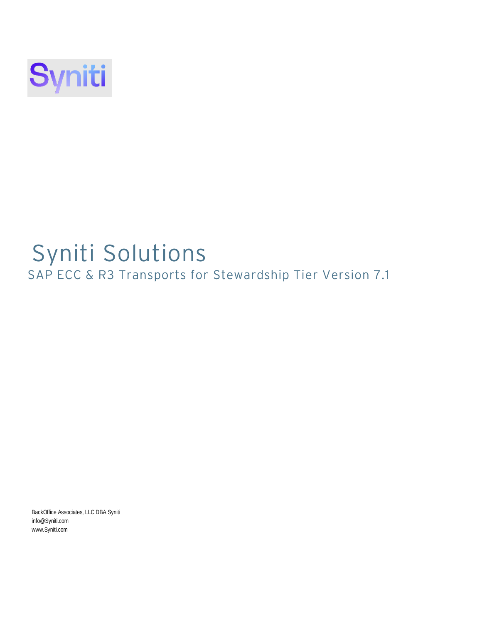

# Syniti Solutions

SAP ECC & R3 Transports for Stewardship Tier Version 7.1

BackOffice Associates, LLC DBA Syni[ti](mailto:info@Syniti.com) [info@Syniti.com](mailto:info@Syniti.com) [www.Syniti.com](http://www.syniti.com/)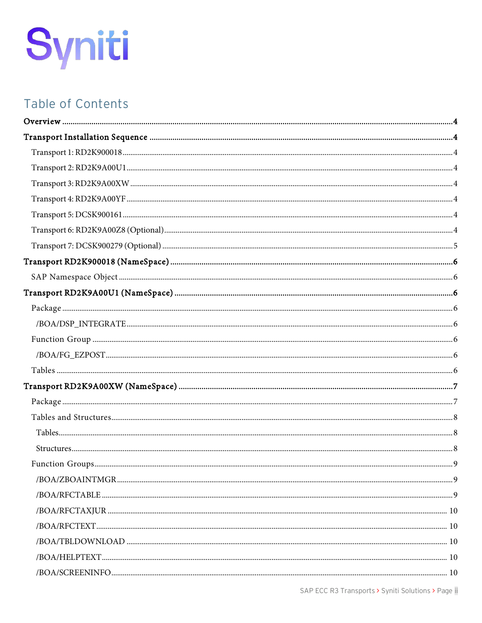# Table of Contents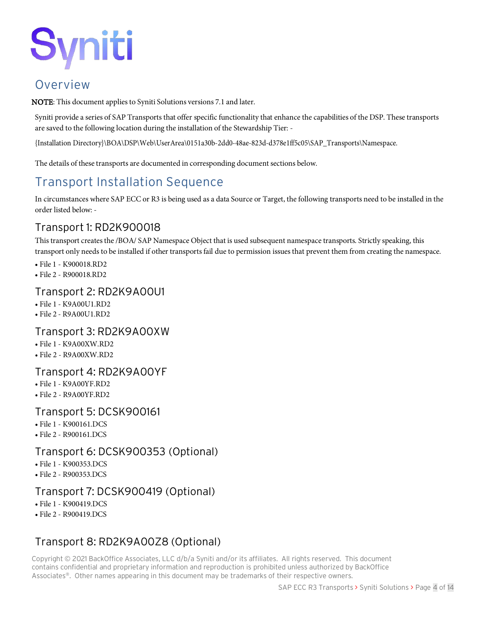### <span id="page-3-0"></span>Overview

NOTE: This document appliesto Syniti Solutions versions 7.1 and later.

Syniti provide a series of SAP Transports that offer specific functionality that enhance the capabilities of the DSP. These transports are saved to the following location during the installation of the Stewardship Tier: -

{Installation Directory}\BOA\DSP\Web\UserArea\0151a30b-2dd0-48ae-823d-d378e1ff5c05\SAP\_Transports\Namespace.

The details of these transports are documented in corresponding document sections below.

# <span id="page-3-1"></span>Transport Installation Sequence

In circumstances where SAP ECC or R3 is being used as a data Source or Target, the following transports need to be installed in the order listed below: -

#### <span id="page-3-2"></span>Transport 1: RD2K900018

Thistransport createsthe /BOA/ SAP Namespace Object that is used subsequent namespace transports. Strictly speaking, this transport only needs to be installed if other transports fail due to permission issues that prevent them from creating the namespace.

- File 1 K900018.RD2
- File 2 R900018.RD2

#### <span id="page-3-3"></span>Transport 2: RD2K9A00U1

- File 1 K9A00U1.RD2
- File 2 R9A00U1.RD2

#### <span id="page-3-4"></span>Transport 3: RD2K9A00XW

- File 1 K9A00XW.RD2
- File 2 R9A00XW.RD2

#### <span id="page-3-5"></span>Transport 4: RD2K9A00YF

- File 1 K9A00YF.RD2
- File 2 R9A00YF.RD2

#### <span id="page-3-6"></span>Transport 5: DCSK900161

- File 1 K900161.DCS
- File 2 R900161.DCS

#### <span id="page-3-7"></span>Transport 6: DCSK900353 (Optional)

- File 1 K900353.DCS
- File 2 R900353.DCS

#### Transport 7: DCSK900419 (Optional)

- File 1 K900419.DCS
- File 2 R900419.DCS

### Transport 8: RD2K9A00Z8 (Optional)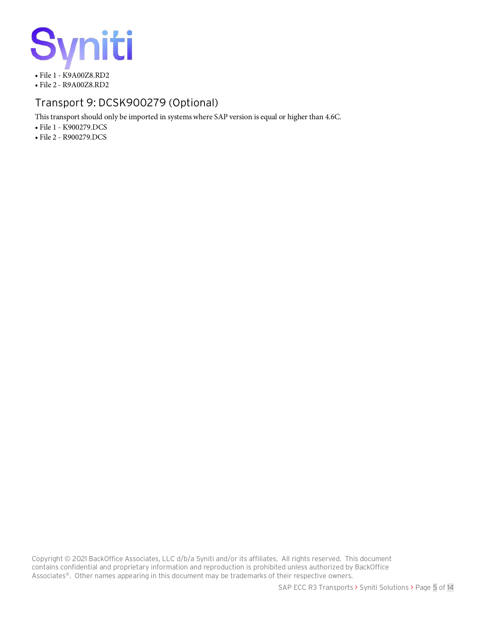

#### <span id="page-4-0"></span>Transport 9: DCSK900279 (Optional)

Thistransport should only be imported in systemswhere SAP version is equal or higher than 4.6C.

• File 1 - K900279.DCS

• File 2 - R900279.DCS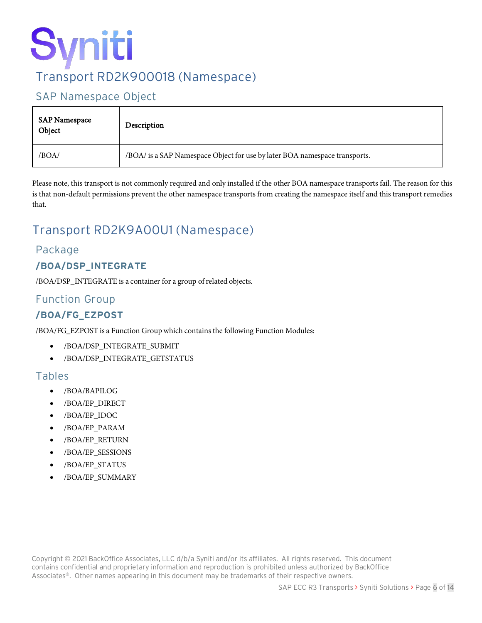# Syniti Transport RD2K900018 (Namespace)

#### <span id="page-5-1"></span><span id="page-5-0"></span>SAP Namespace Object

| SAP Namespace<br>Object | Description                                                                |
|-------------------------|----------------------------------------------------------------------------|
| /BOA/                   | /BOA/ is a SAP Namespace Object for use by later BOA namespace transports. |

Please note, this transport is not commonly required and only installed if the other BOA namespace transports fail. The reason for this is that non-default permissions prevent the other namespace transports from creating the namespace itself and this transport remedies that.

# <span id="page-5-2"></span>Transport RD2K9A00U1 (Namespace)

#### <span id="page-5-3"></span>Package

#### <span id="page-5-4"></span>**/BOA/DSP\_INTEGRATE**

/BOA/DSP\_INTEGRATE is a container for a group ofrelated objects.

#### <span id="page-5-5"></span>Function Group

#### <span id="page-5-6"></span>**/BOA/FG\_EZPOST**

/BOA/FG\_EZPOST is a Function Groupwhich containsthe following Function Modules:

- /BOA/DSP\_INTEGRATE\_SUBMIT
- /BOA/DSP\_INTEGRATE\_GETSTATUS

#### <span id="page-5-7"></span>Tables

- /BOA/BAPILOG
- /BOA/EP\_DIRECT
- /BOA/EP\_IDOC
- /BOA/EP\_PARAM
- /BOA/EP\_RETURN
- /BOA/EP\_SESSIONS
- /BOA/EP\_STATUS
- /BOA/EP\_SUMMARY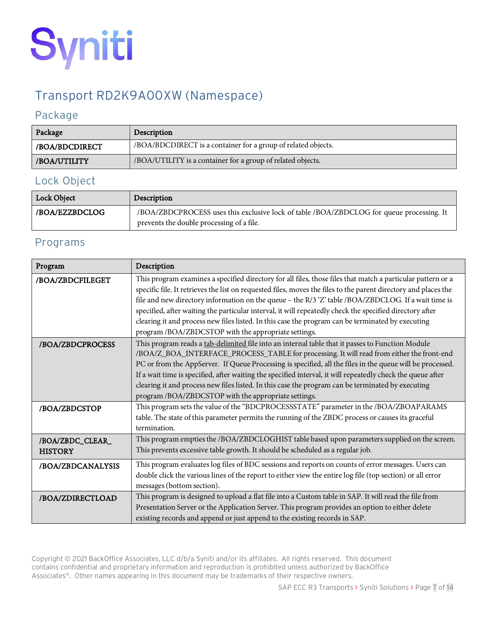

## <span id="page-6-0"></span>Transport RD2K9A00XW (Namespace)

#### <span id="page-6-1"></span>Package

| Package        | Description                                                   |
|----------------|---------------------------------------------------------------|
| /BOA/BDCDIRECT | /BOA/BDCDIRECT is a container for a group of related objects. |
| /BOA/UTILITY   | /BOA/UTILITY is a container for a group of related objects.   |

#### Lock Object

| Lock Object    | Description                                                                                                                           |
|----------------|---------------------------------------------------------------------------------------------------------------------------------------|
| /BOA/EZZBDCLOG | /BOA/ZBDCPROCESS uses this exclusive lock of table /BOA/ZBDCLOG for queue processing. It<br>prevents the double processing of a file. |

#### Programs

| Program                            | Description                                                                                                                                                                                                                                                                                                                                                                                                                                                                                                                                                                                                    |
|------------------------------------|----------------------------------------------------------------------------------------------------------------------------------------------------------------------------------------------------------------------------------------------------------------------------------------------------------------------------------------------------------------------------------------------------------------------------------------------------------------------------------------------------------------------------------------------------------------------------------------------------------------|
| /BOA/ZBDCFILEGET                   | This program examines a specified directory for all files, those files that match a particular pattern or a<br>specific file. It retrieves the list on requested files, moves the files to the parent directory and places the<br>file and new directory information on the queue - the R/3 'Z' table /BOA/ZBDCLOG. If a wait time is<br>specified, after waiting the particular interval, it will repeatedly check the specified directory after<br>clearing it and process new files listed. In this case the program can be terminated by executing<br>program /BOA/ZBDCSTOP with the appropriate settings. |
| /BOA/ZBDCPROCESS                   | This program reads a tab-delimited file into an internal table that it passes to Function Module<br>/BOA/Z_BOA_INTERFACE_PROCESS_TABLE for processing. It will read from either the front-end<br>PC or from the AppServer. If Queue Processing is specified, all the files in the queue will be processed.<br>If a wait time is specified, after waiting the specified interval, it will repeatedly check the queue after<br>clearing it and process new files listed. In this case the program can be terminated by executing<br>program /BOA/ZBDCSTOP with the appropriate settings.                         |
| /BOA/ZBDCSTOP                      | This program sets the value of the "BDCPROCESSSTATE" parameter in the /BOA/ZBOAPARAMS<br>table. The state of this parameter permits the running of the ZBDC process or causes its graceful<br>termination.                                                                                                                                                                                                                                                                                                                                                                                                     |
| /BOA/ZBDC_CLEAR_<br><b>HISTORY</b> | This program empties the /BOA/ZBDCLOGHIST table based upon parameters supplied on the screen.<br>This prevents excessive table growth. It should be scheduled as a regular job.                                                                                                                                                                                                                                                                                                                                                                                                                                |
| /BOA/ZBDCANALYSIS                  | This program evaluates log files of BDC sessions and reports on counts of error messages. Users can<br>double click the various lines of the report to either view the entire log file (top section) or all error<br>messages (bottom section).                                                                                                                                                                                                                                                                                                                                                                |
| /BOA/ZDIRECTLOAD                   | This program is designed to upload a flat file into a Custom table in SAP. It will read the file from<br>Presentation Server or the Application Server. This program provides an option to either delete<br>existing records and append or just append to the existing records in SAP.                                                                                                                                                                                                                                                                                                                         |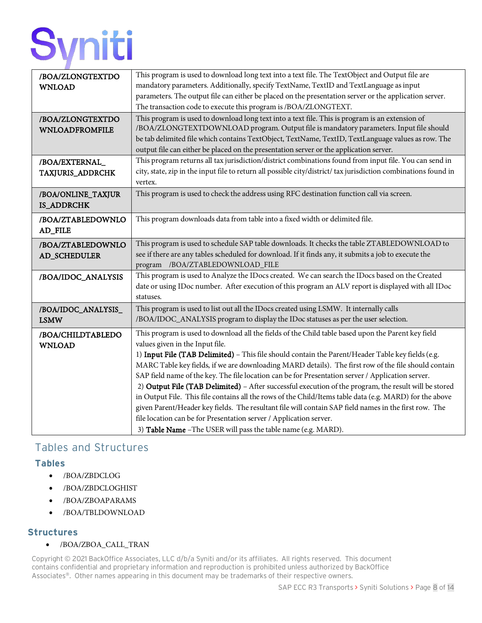| /BOA/ZLONGTEXTDO      | This program is used to download long text into a text file. The TextObject and Output file are                            |
|-----------------------|----------------------------------------------------------------------------------------------------------------------------|
| <b>WNLOAD</b>         | mandatory parameters. Additionally, specify TextName, TextID and TextLanguage as input                                     |
|                       | parameters. The output file can either be placed on the presentation server or the application server.                     |
|                       | The transaction code to execute this program is /BOA/ZLONGTEXT.                                                            |
| /BOA/ZLONGTEXTDO      | This program is used to download long text into a text file. This is program is an extension of                            |
| <b>WNLOADFROMFILE</b> | /BOA/ZLONGTEXTDOWNLOAD program. Output file is mandatory parameters. Input file should                                     |
|                       | be tab delimited file which contains TextObject, TextName, TextID, TextLanguage values as row. The                         |
|                       | output file can either be placed on the presentation server or the application server.                                     |
| /BOA/EXTERNAL_        | This program returns all tax jurisdiction/district combinations found from input file. You can send in                     |
| TAXJURIS_ADDRCHK      | city, state, zip in the input file to return all possible city/district/ tax jurisdiction combinations found in<br>vertex. |
| /BOA/ONLINE_TAXJUR    | This program is used to check the address using RFC destination function call via screen.                                  |
| IS_ADDRCHK            |                                                                                                                            |
| /BOA/ZTABLEDOWNLO     | This program downloads data from table into a fixed width or delimited file.                                               |
| AD_FILE               |                                                                                                                            |
| /BOA/ZTABLEDOWNLO     | This program is used to schedule SAP table downloads. It checks the table ZTABLEDOWNLOAD to                                |
| AD_SCHEDULER          | see if there are any tables scheduled for download. If it finds any, it submits a job to execute the                       |
|                       | program /BOA/ZTABLEDOWNLOAD_FILE                                                                                           |
| /BOA/IDOC_ANALYSIS    | This program is used to Analyze the IDocs created. We can search the IDocs based on the Created                            |
|                       | date or using IDoc number. After execution of this program an ALV report is displayed with all IDoc                        |
|                       | statuses.                                                                                                                  |
| /BOA/IDOC_ANALYSIS_   | This program is used to list out all the IDocs created using LSMW. It internally calls                                     |
| <b>LSMW</b>           | /BOA/IDOC_ANALYSIS program to display the IDoc statuses as per the user selection.                                         |
| /BOA/CHILDTABLEDO     | This program is used to download all the fields of the Child table based upon the Parent key field                         |
| <b>WNLOAD</b>         | values given in the Input file.                                                                                            |
|                       | 1) Input File (TAB Delimited) - This file should contain the Parent/Header Table key fields (e.g.                          |
|                       | MARC Table key fields, if we are downloading MARD details). The first row of the file should contain                       |
|                       | SAP field name of the key. The file location can be for Presentation server / Application server.                          |
|                       | 2) Output File (TAB Delimited) - After successful execution of the program, the result will be stored                      |
|                       | in Output File. This file contains all the rows of the Child/Items table data (e.g. MARD) for the above                    |
|                       | given Parent/Header key fields. The resultant file will contain SAP field names in the first row. The                      |
|                       | file location can be for Presentation server / Application server.                                                         |
|                       | 3) Table Name - The USER will pass the table name (e.g. MARD).                                                             |

#### <span id="page-7-0"></span>Tables and Structures

#### <span id="page-7-1"></span>**Tables**

- /BOA/ZBDCLOG
- /BOA/ZBDCLOGHIST
- /BOA/ZBOAPARAMS
- /BOA/TBLDOWNLOAD

#### <span id="page-7-2"></span>**Structures**

• /BOA/ZBOA\_CALL\_TRAN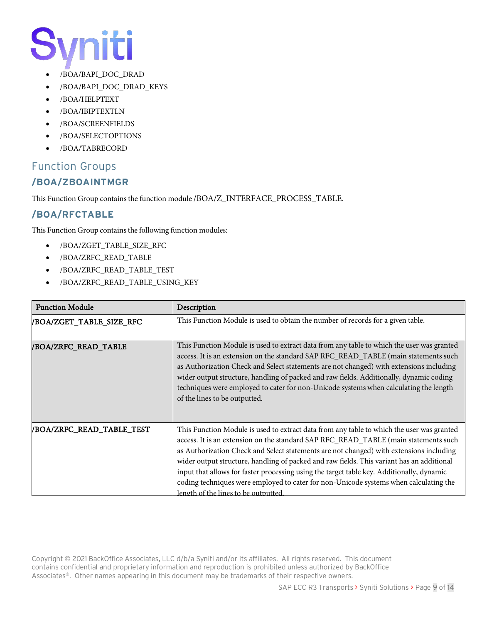- /BOA/BAPI\_DOC\_DRAD
- /BOA/BAPI\_DOC\_DRAD\_KEYS
- /BOA/HELPTEXT
- /BOA/IBIPTEXTLN
- /BOA/SCREENFIELDS
- /BOA/SELECTOPTIONS
- /BOA/TABRECORD

#### <span id="page-8-1"></span><span id="page-8-0"></span>Function Groups **/BOA/ZBOAINTMGR**

This Function Group containsthe function module /BOA/Z\_INTERFACE\_PROCESS\_TABLE.

#### <span id="page-8-2"></span>**/BOA/RFCTABLE**

This Function Group contains the following function modules:

- /BOA/ZGET\_TABLE\_SIZE\_RFC
- /BOA/ZRFC\_READ\_TABLE
- /BOA/ZRFC\_READ\_TABLE\_TEST
- /BOA/ZRFC\_READ\_TABLE\_USING\_KEY

| <b>Function Module</b>    | Description                                                                                                                                                                                                                                                                                                                                                                                                                                                                                                                                                                                                   |
|---------------------------|---------------------------------------------------------------------------------------------------------------------------------------------------------------------------------------------------------------------------------------------------------------------------------------------------------------------------------------------------------------------------------------------------------------------------------------------------------------------------------------------------------------------------------------------------------------------------------------------------------------|
| /BOA/ZGET_TABLE_SIZE_RFC  | This Function Module is used to obtain the number of records for a given table.                                                                                                                                                                                                                                                                                                                                                                                                                                                                                                                               |
| /BOA/ZRFC_READ_TABLE      | This Function Module is used to extract data from any table to which the user was granted<br>access. It is an extension on the standard SAP RFC_READ_TABLE (main statements such<br>as Authorization Check and Select statements are not changed) with extensions including<br>wider output structure, handling of packed and raw fields. Additionally, dynamic coding<br>techniques were employed to cater for non-Unicode systems when calculating the length<br>of the lines to be outputted.                                                                                                              |
| /BOA/ZRFC_READ_TABLE_TEST | This Function Module is used to extract data from any table to which the user was granted<br>access. It is an extension on the standard SAP RFC_READ_TABLE (main statements such<br>as Authorization Check and Select statements are not changed) with extensions including<br>wider output structure, handling of packed and raw fields. This variant has an additional<br>input that allows for faster processing using the target table key. Additionally, dynamic<br>coding techniques were employed to cater for non-Unicode systems when calculating the<br><u>length of the lines to be outputted.</u> |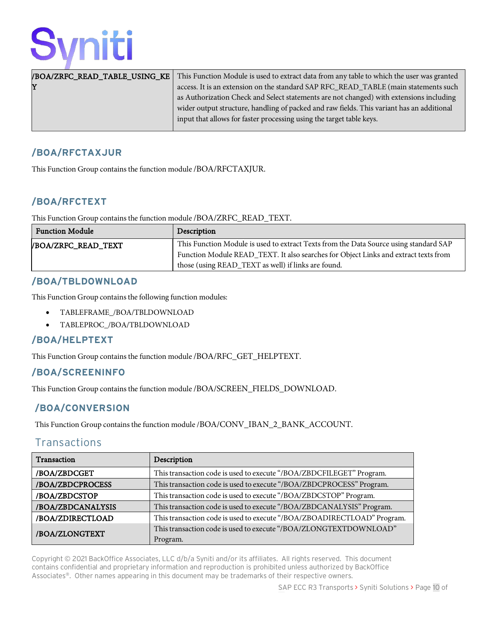|   | <b>/BOA/ZRFC_READ_TABLE_USING_KE</b>   This Function Module is used to extract data from any table to which the user was granted |
|---|----------------------------------------------------------------------------------------------------------------------------------|
| Y | access. It is an extension on the standard SAP RFC_READ_TABLE (main statements such                                              |
|   | as Authorization Check and Select statements are not changed) with extensions including                                          |
|   | wider output structure, handling of packed and raw fields. This variant has an additional                                        |
|   | input that allows for faster processing using the target table keys.                                                             |
|   |                                                                                                                                  |

#### <span id="page-9-0"></span>**/BOA/RFCTAXJUR**

This Function Group contains the function module /BOA/RFCTAXJUR.

#### <span id="page-9-1"></span>**/BOA/RFCTEXT**

This Function Group containsthe function module /BOA/ZRFC\_READ\_TEXT.

| <b>Function Module</b>    | Description                                                                           |
|---------------------------|---------------------------------------------------------------------------------------|
| <b>BOA/ZRFC_READ_TEXT</b> | This Function Module is used to extract Texts from the Data Source using standard SAP |
|                           | Function Module READ_TEXT. It also searches for Object Links and extract texts from   |
|                           | those (using READ_TEXT as well) if links are found.                                   |

#### <span id="page-9-2"></span>**/BOA/TBLDOWNLOAD**

This Function Group contains the following function modules:

- TABLEFRAME\_/BOA/TBLDOWNLOAD
- TABLEPROC\_/BOA/TBLDOWNLOAD

#### <span id="page-9-3"></span>**/BOA/HELPTEXT**

This Function Group contains the function module /BOA/RFC\_GET\_HELPTEXT.

#### <span id="page-9-4"></span>**/BOA/SCREENINFO**

This Function Group contains the function module /BOA/SCREEN\_FIELDS\_DOWNLOAD.

#### <span id="page-9-5"></span>**/BOA/CONVERSION**

This Function Group contains the function module /BOA/CONV\_IBAN\_2\_BANK\_ACCOUNT.

#### <span id="page-9-6"></span>**Transactions**

| Transaction       | Description                                                             |
|-------------------|-------------------------------------------------------------------------|
| /BOA/ZBDCGET      | This transaction code is used to execute "/BOA/ZBDCFILEGET" Program.    |
| /BOA/ZBDCPROCESS  | This transaction code is used to execute "/BOA/ZBDCPROCESS" Program.    |
| /BOA/ZBDCSTOP     | This transaction code is used to execute "/BOA/ZBDCSTOP" Program.       |
| /BOA/ZBDCANALYSIS | This transaction code is used to execute "/BOA/ZBDCANALYSIS" Program.   |
| /BOA/ZDIRECTLOAD  | This transaction code is used to execute "/BOA/ZBOADIRECTLOAD" Program. |
| /BOA/ZLONGTEXT    | This transaction code is used to execute "/BOA/ZLONGTEXTDOWNLOAD"       |
|                   | Program.                                                                |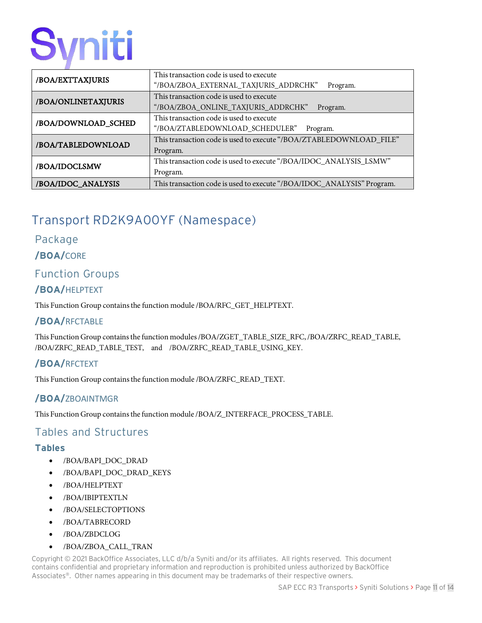| /BOA/EXTTAXJURIS    | This transaction code is used to execute                               |
|---------------------|------------------------------------------------------------------------|
|                     | "/BOA/ZBOA_EXTERNAL_TAXJURIS_ADDRCHK"<br>Program.                      |
| /BOA/ONLINETAXJURIS | This transaction code is used to execute                               |
|                     | "/BOA/ZBOA_ONLINE_TAXJURIS_ADDRCHK"<br>Program.                        |
| /BOA/DOWNLOAD_SCHED | This transaction code is used to execute                               |
|                     | "/BOA/ZTABLEDOWNLOAD SCHEDULER"<br>Program.                            |
| /BOA/TABLEDOWNLOAD  | This transaction code is used to execute "/BOA/ZTABLEDOWNLOAD_FILE"    |
|                     | Program.                                                               |
| /BOA/IDOCLSMW       | This transaction code is used to execute "/BOA/IDOC_ANALYSIS_LSMW"     |
|                     | Program.                                                               |
| /BOA/IDOC_ANALYSIS  | This transaction code is used to execute "/BOA/IDOC_ANALYSIS" Program. |

# <span id="page-10-0"></span>Transport RD2K9A00YF (Namespace)

#### Package

#### **/BOA/**CORE

#### <span id="page-10-1"></span>Function Groups

#### **/BOA/**HELPTEXT

This Function Group containsthe function module /BOA/RFC\_GET\_HELPTEXT.

#### **/BOA/**RFCTABLE

This Function Group containsthe function modules/BOA/ZGET\_TABLE\_SIZE\_RFC,/BOA/ZRFC\_READ\_TABLE, /BOA/ZRFC\_READ\_TABLE\_TEST, and /BOA/ZRFC\_READ\_TABLE\_USING\_KEY.

#### **/BOA/**RFCTEXT

This Function Group containsthe function module /BOA/ZRFC\_READ\_TEXT.

#### **/BOA/**ZBOAINTMGR

This Function Group containsthe function module /BOA/Z\_INTERFACE\_PROCESS\_TABLE.

#### <span id="page-10-2"></span>Tables and Structures

#### <span id="page-10-3"></span>**Tables**

- /BOA/BAPI\_DOC\_DRAD
- /BOA/BAPI\_DOC\_DRAD\_KEYS
- /BOA/HELPTEXT
- /BOA/IBIPTEXTLN
- /BOA/SELECTOPTIONS
- /BOA/TABRECORD
- /BOA/ZBDCLOG
- /BOA/ZBOA\_CALL\_TRAN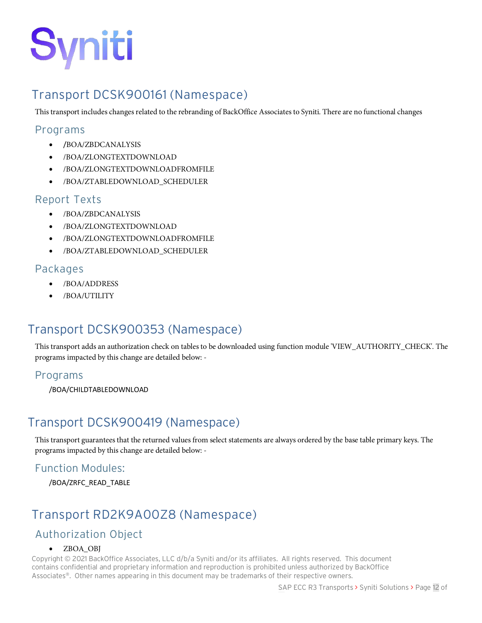

## <span id="page-11-0"></span>Transport DCSK900161 (Namespace)

This transport includes changes related to the rebranding of BackOffice Associates to Syniti. There are no functional changes

#### <span id="page-11-1"></span>Programs

- /BOA/ZBDCANALYSIS
- /BOA/ZLONGTEXTDOWNLOAD
- /BOA/ZLONGTEXTDOWNLOADFROMFILE
- /BOA/ZTABLEDOWNLOAD\_SCHEDULER

#### <span id="page-11-2"></span>Report Texts

- /BOA/ZBDCANALYSIS
- /BOA/ZLONGTEXTDOWNLOAD
- /BOA/ZLONGTEXTDOWNLOADFROMFILE
- /BOA/ZTABLEDOWNLOAD\_SCHEDULER

#### <span id="page-11-3"></span>Packages

- /BOA/ADDRESS
- /BOA/UTILITY

### Transport DCSK900353 (Namespace)

This transport adds an authorization check on tables to be downloaded using function module 'VIEW\_AUTHORITY\_CHECK'. The programs impacted by this change are detailed below: -

#### Programs

/BOA/CHILDTABLEDOWNLOAD

### Transport DCSK900419 (Namespace)

This transport guarantees that the returned values from select statements are always ordered by the base table primary keys. The programs impacted by this change are detailed below: -

#### Function Modules:

/BOA/ZRFC\_READ\_TABLE

## <span id="page-11-4"></span>Transport RD2K9A00Z8 (Namespace)

### <span id="page-11-5"></span>Authorization Object

#### • ZBOA\_OBJ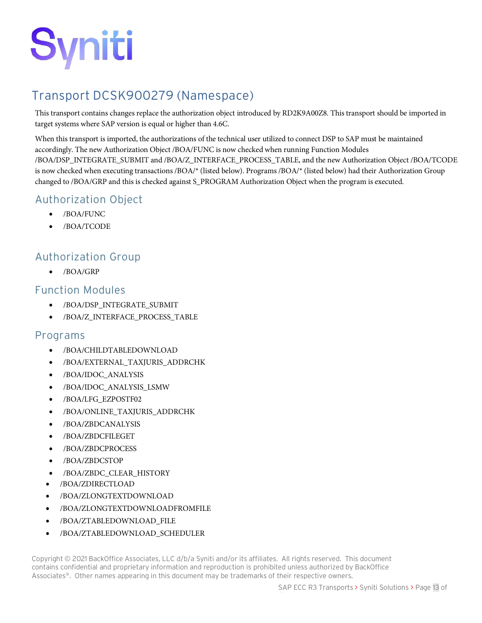

## <span id="page-12-0"></span>Transport DCSK900279 (Namespace)

This transport contains changes replace the authorization object introduced by RD2K9A00Z8. This transport should be imported in target systems where SAP version is equal or higher than 4.6C.

When this transport is imported, the authorizations of the technical user utilized to connect DSP to SAP must be maintained accordingly. The new Authorization Object /BOA/FUNC is now checked when running Function Modules /BOA/DSP\_INTEGRATE\_SUBMIT and /BOA/Z\_INTERFACE\_PROCESS\_TABLE, and the new Authorization Object /BOA/TCODE is now checked when executing transactions /BOA/\* (listed below). Programs /BOA/\* (listed below) had their Authorization Group changed to /BOA/GRP and this is checked against S\_PROGRAM Authorization Object when the program is executed.

#### <span id="page-12-1"></span>Authorization Object

- /BOA/FUNC
- /BOA/TCODE

#### <span id="page-12-2"></span>Authorization Group

• /BOA/GRP

#### <span id="page-12-3"></span>Function Modules

- /BOA/DSP\_INTEGRATE\_SUBMIT
- /BOA/Z\_INTERFACE\_PROCESS\_TABLE

#### <span id="page-12-4"></span>Programs

- /BOA/CHILDTABLEDOWNLOAD
- /BOA/EXTERNAL\_TAXJURIS\_ADDRCHK
- /BOA/IDOC\_ANALYSIS
- /BOA/IDOC\_ANALYSIS\_LSMW
- /BOA/LFG\_EZPOSTF02
- /BOA/ONLINE\_TAXJURIS\_ADDRCHK
- /BOA/ZBDCANALYSIS
- /BOA/ZBDCFILEGET
- /BOA/ZBDCPROCESS
- /BOA/ZBDCSTOP
- /BOA/ZBDC\_CLEAR\_HISTORY
- /BOA/ZDIRECTLOAD
- /BOA/ZLONGTEXTDOWNLOAD
- /BOA/ZLONGTEXTDOWNLOADFROMFILE
- /BOA/ZTABLEDOWNLOAD\_FILE
- /BOA/ZTABLEDOWNLOAD\_SCHEDULER